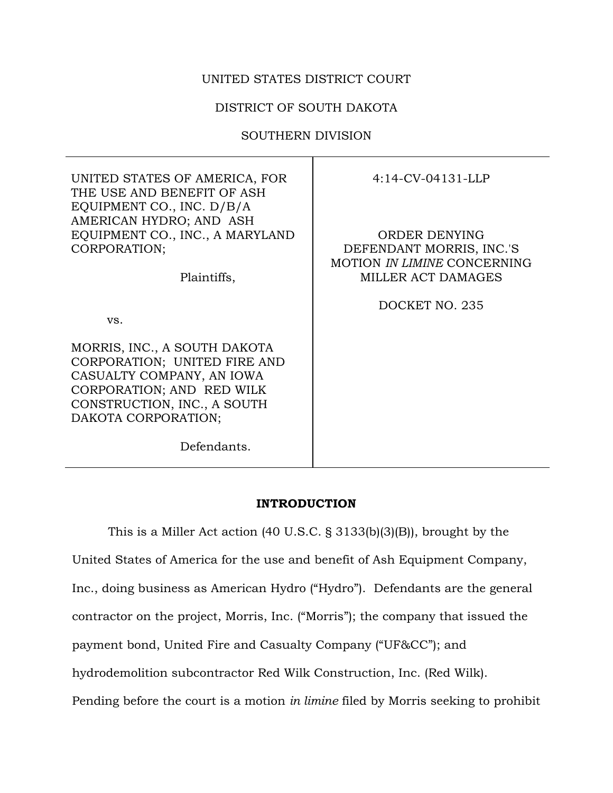# UNITED STATES DISTRICT COURT

# DISTRICT OF SOUTH DAKOTA

## SOUTHERN DIVISION

Τ

| UNITED STATES OF AMERICA, FOR<br>THE USE AND BENEFIT OF ASH<br>EQUIPMENT CO., INC. D/B/A                                                                                     | $4:14$ -CV-04131-LLP                                                                           |
|------------------------------------------------------------------------------------------------------------------------------------------------------------------------------|------------------------------------------------------------------------------------------------|
| AMERICAN HYDRO; AND ASH<br>EQUIPMENT CO., INC., A MARYLAND<br>CORPORATION;<br>Plaintiffs,                                                                                    | ORDER DENYING<br>DEFENDANT MORRIS, INC.'S<br>MOTION IN LIMINE CONCERNING<br>MILLER ACT DAMAGES |
|                                                                                                                                                                              | DOCKET NO. 235                                                                                 |
| VS.                                                                                                                                                                          |                                                                                                |
| MORRIS, INC., A SOUTH DAKOTA<br>CORPORATION; UNITED FIRE AND<br>CASUALTY COMPANY, AN IOWA<br>CORPORATION; AND RED WILK<br>CONSTRUCTION, INC., A SOUTH<br>DAKOTA CORPORATION; |                                                                                                |
| Defendants.                                                                                                                                                                  |                                                                                                |

## **INTRODUCTION**

This is a Miller Act action (40 U.S.C. § 3133(b)(3)(B)), brought by the United States of America for the use and benefit of Ash Equipment Company, Inc., doing business as American Hydro ("Hydro"). Defendants are the general contractor on the project, Morris, Inc. ("Morris"); the company that issued the payment bond, United Fire and Casualty Company ("UF&CC"); and hydrodemolition subcontractor Red Wilk Construction, Inc. (Red Wilk). Pending before the court is a motion *in limine* filed by Morris seeking to prohibit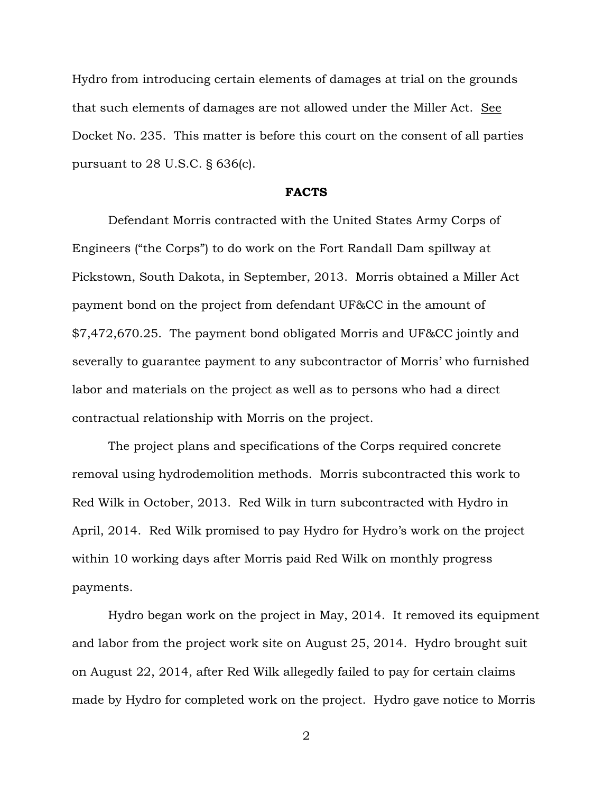Hydro from introducing certain elements of damages at trial on the grounds that such elements of damages are not allowed under the Miller Act. See Docket No. 235. This matter is before this court on the consent of all parties pursuant to 28 U.S.C. § 636(c).

#### **FACTS**

Defendant Morris contracted with the United States Army Corps of Engineers ("the Corps") to do work on the Fort Randall Dam spillway at Pickstown, South Dakota, in September, 2013. Morris obtained a Miller Act payment bond on the project from defendant UF&CC in the amount of \$7,472,670.25. The payment bond obligated Morris and UF&CC jointly and severally to guarantee payment to any subcontractor of Morris' who furnished labor and materials on the project as well as to persons who had a direct contractual relationship with Morris on the project.

The project plans and specifications of the Corps required concrete removal using hydrodemolition methods. Morris subcontracted this work to Red Wilk in October, 2013. Red Wilk in turn subcontracted with Hydro in April, 2014. Red Wilk promised to pay Hydro for Hydro's work on the project within 10 working days after Morris paid Red Wilk on monthly progress payments.

Hydro began work on the project in May, 2014. It removed its equipment and labor from the project work site on August 25, 2014. Hydro brought suit on August 22, 2014, after Red Wilk allegedly failed to pay for certain claims made by Hydro for completed work on the project. Hydro gave notice to Morris

2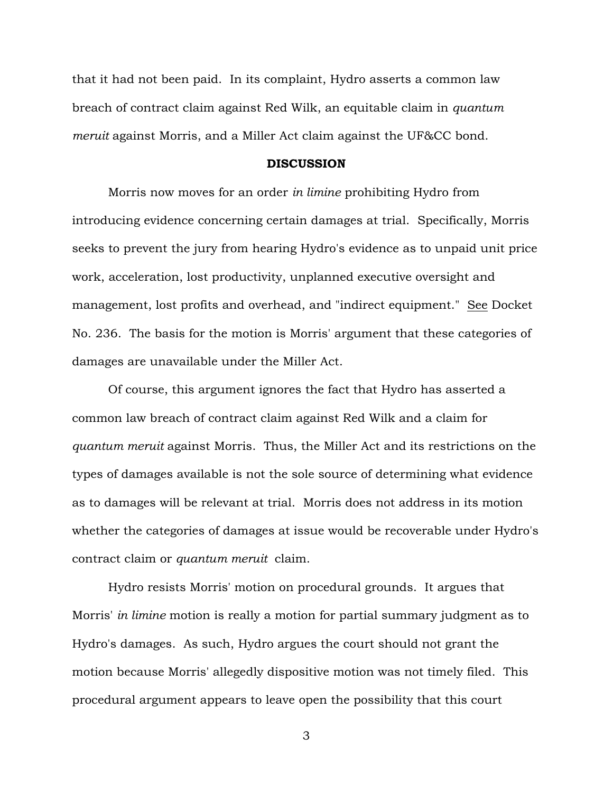that it had not been paid. In its complaint, Hydro asserts a common law breach of contract claim against Red Wilk, an equitable claim in *quantum meruit* against Morris, and a Miller Act claim against the UF&CC bond.

#### **DISCUSSION**

Morris now moves for an order *in limine* prohibiting Hydro from introducing evidence concerning certain damages at trial. Specifically, Morris seeks to prevent the jury from hearing Hydro's evidence as to unpaid unit price work, acceleration, lost productivity, unplanned executive oversight and management, lost profits and overhead, and "indirect equipment." See Docket No. 236. The basis for the motion is Morris' argument that these categories of damages are unavailable under the Miller Act.

Of course, this argument ignores the fact that Hydro has asserted a common law breach of contract claim against Red Wilk and a claim for *quantum meruit* against Morris. Thus, the Miller Act and its restrictions on the types of damages available is not the sole source of determining what evidence as to damages will be relevant at trial. Morris does not address in its motion whether the categories of damages at issue would be recoverable under Hydro's contract claim or *quantum meruit* claim.

Hydro resists Morris' motion on procedural grounds. It argues that Morris' *in limine* motion is really a motion for partial summary judgment as to Hydro's damages. As such, Hydro argues the court should not grant the motion because Morris' allegedly dispositive motion was not timely filed. This procedural argument appears to leave open the possibility that this court

3